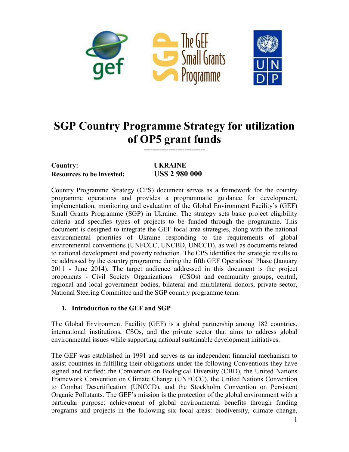

# **SGP Country Programme Strategy for utilization of OP5 grant funds**

**---------------------------**

# **Country: UKRAINE Resources to be invested: US\$ 2 980 000**

Country Programme Strategy (CPS) document serves as a framework for the country programme operations and provides a programmatic guidance for development, implementation, monitoring and evaluation of the Global Environment Facility"s (GEF) Small Grants Programme (SGP) in Ukraine. The strategy sets basic project eligibility criteria and specifies types of projects to be funded through the programme. This document is designed to integrate the GEF focal area strategies, along with the national environmental priorities of Ukraine responding to the requirements of global environmental conventions (UNFCCC, UNCBD, UNCCD), as well as documents related to national development and poverty reduction. The CPS identifies the strategic results to be addressed by the country programme during the fifth GEF Operational Phase (January 2011 - June 2014). The target audience addressed in this document is the project proponents - Civil Society Organizations (CSOs) and community groups, central, regional and local government bodies, bilateral and multilateral donors, private sector, National Steering Committee and the SGP country programme team.

# **1. Introduction to the GEF and SGP**

The Global Environment Facility (GEF) is a global partnership among 182 countries, international institutions, CSOs, and the private sector that aims to address global environmental issues while supporting national sustainable development initiatives.

The GEF was established in 1991 and serves as an independent financial mechanism to assist countries in fulfilling their obligations under the following Conventions they have signed and ratified: the Convention on Biological Diversity (CBD), the United Nations Framework Convention on Climate Change (UNFCCC), the United Nations Convention to Combat Desertification (UNCCD), and the Stockholm Convention on Persistent Organic Pollutants. The GEF"s mission is the protection of the global environment with a particular purpose: achievement of global environmental benefits through funding programs and projects in the following six focal areas: biodiversity, climate change,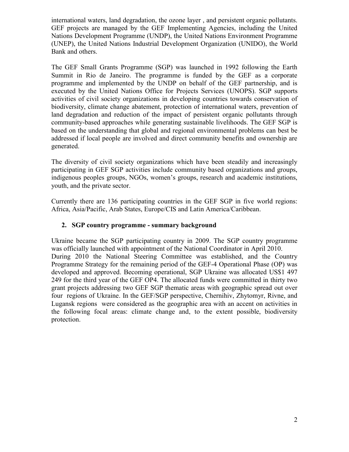international waters, land degradation, the ozone layer , and persistent organic pollutants. GEF projects are managed by the GEF Implementing Agencies, including the United Nations Development Programme (UNDP), the United Nations Environment Programme (UNEP), the United Nations Industrial Development Organization (UNIDO), the World Bank and others.

The GEF Small Grants Programme (SGP) was launched in 1992 following the Earth Summit in Rio de Janeiro. The programme is funded by the GEF as a corporate programme and implemented by the UNDP on behalf of the GEF partnership, and is executed by the United Nations Office for Projects Services (UNOPS). SGP supports activities of civil society organizations in developing countries towards conservation of biodiversity, climate change abatement, protection of international waters, prevention of land degradation and reduction of the impact of persistent organic pollutants through community-based approaches while generating sustainable livelihoods. The GEF SGP is based on the understanding that global and regional environmental problems can best be addressed if local people are involved and direct community benefits and ownership are generated.

The diversity of civil society organizations which have been steadily and increasingly participating in GEF SGP activities include community based organizations and groups, indigenous peoples groups, NGOs, women"s groups, research and academic institutions, youth, and the private sector.

Currently there are 136 participating countries in the GEF SGP in five world regions: Africa, Asia/Pacific, Arab States, Europe/CIS and Latin America/Caribbean.

# **2. SGP country programme - summary background**

Ukraine became the SGP participating country in 2009. The SGP country programme was officially launched with appointment of the National Coordinator in April 2010. During 2010 the National Steering Committee was established, and the Country Programme Strategy for the remaining period of the GEF-4 Operational Phase (OP) was developed and approved. Becoming operational, SGP Ukraine was allocated US\$1 497 249 for the third year of the GEF OP4. The allocated funds were committed in thirty two grant projects addressing two GEF SGP thematic areas with geographic spread out over four regions of Ukraine. In the GEF/SGP perspective, Chernihiv, Zhytomyr, Rivne, and Lugansk regions were considered as the geographic area with an accent on activities in the following focal areas: climate change and, to the extent possible, biodiversity protection.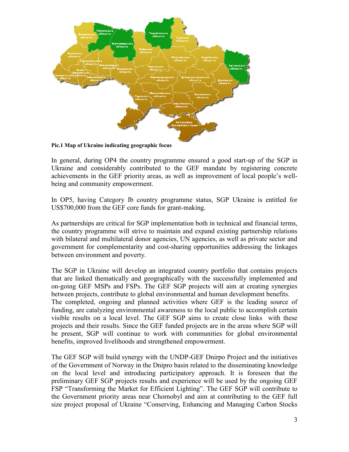

**Pic.1 Map of Ukraine indicating geographic focus**

In general, during OP4 the country programme ensured a good start-up of the SGP in Ukraine and considerably contributed to the GEF mandate by registering concrete achievements in the GEF priority areas, as well as improvement of local people"s wellbeing and community empowerment.

In OP5, having Category Ib country programme status, SGP Ukraine is entitled for US\$700,000 from the GEF core funds for grant-making.

As partnerships are critical for SGP implementation both in technical and financial terms, the country programme will strive to maintain and expand existing partnership relations with bilateral and multilateral donor agencies, UN agencies, as well as private sector and government for complementarity and cost-sharing opportunities addressing the linkages between environment and poverty.

The SGP in Ukraine will develop an integrated country portfolio that contains projects that are linked thematically and geographically with the successfully implemented and on-going GEF MSPs and FSPs. The GEF SGP projects will aim at creating synergies between projects, contribute to global environmental and human development benefits. The completed, ongoing and planned activities where GEF is the leading source of funding, are catalyzing environmental awareness to the local public to accomplish certain visible results on a local level. The GEF SGP aims to create close links with these projects and their results. Since the GEF funded projects are in the areas where SGP will be present, SGP will continue to work with communities for global environmental benefits, improved livelihoods and strengthened empowerment.

The GEF SGP will build synergy with the UNDP-GEF Dnirpo Project and the initiatives of the Government of Norway in the Dnipro basin related to the disseminating knowledge on the local level and introducing participatory approach. It is foreseen that the preliminary GEF SGP projects results and experience will be used by the ongoing GEF FSP "Transforming the Market for Efficient Lighting". The GEF SGP will contribute to the Government priority areas near Chornobyl and aim at contributing to the GEF full size project proposal of Ukraine "Conserving, Enhancing and Managing Carbon Stocks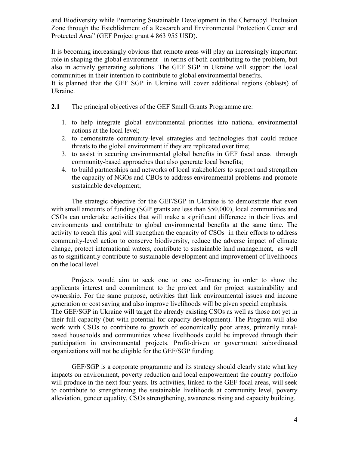and Biodiversity while Promoting Sustainable Development in the Chernobyl Exclusion Zone through the Esteblishment of a Research and Environmental Protection Center and Protected Area" (GEF Project grant 4 863 955 USD).

It is becoming increasingly obvious that remote areas will play an increasingly important role in shaping the global environment - in terms of both contributing to the problem, but also in actively generating solutions. The GEF SGP in Ukraine will support the local communities in their intention to contribute to global environmental benefits.

It is planned that the GEF SGP in Ukraine will cover additional regions (oblasts) of Ukraine.

**2.1** The principal objectives of the GEF Small Grants Programme are:

- 1. to help integrate global environmental priorities into national environmental actions at the local level;
- 2. to demonstrate community-level strategies and technologies that could reduce threats to the global environment if they are replicated over time;
- 3. to assist in securing environmental global benefits in GEF focal areas through community-based approaches that also generate local benefits;
- 4. to build partnerships and networks of local stakeholders to support and strengthen the capacity of NGOs and CBOs to address environmental problems and promote sustainable development;

The strategic objective for the GEF/SGP in Ukraine is to demonstrate that even with small amounts of funding (SGP grants are less than \$50,000), local communities and CSOs can undertake activities that will make a significant difference in their lives and environments and contribute to global environmental benefits at the same time. The activity to reach this goal will strengthen the capacity of CSOs in their efforts to address community-level action to conserve biodiversity, reduce the adverse impact of climate change, protect international waters, contribute to sustainable land management, as well as to significantly contribute to sustainable development and improvement of livelihoods on the local level.

Projects would aim to seek one to one co-financing in order to show the applicants interest and commitment to the project and for project sustainability and ownership. For the same purpose, activities that link environmental issues and income generation or cost saving and also improve livelihoods will be given special emphasis. The GEF/SGP in Ukraine will target the already existing CSOs as well as those not yet in their full capacity (but with potential for capacity development). The Program will also work with CSOs to contribute to growth of economically poor areas, primarily ruralbased households and communities whose livelihoods could be improved through their participation in environmental projects. Profit-driven or government subordinated organizations will not be eligible for the GEF/SGP funding.

GEF/SGP is a corporate programme and its strategy should clearly state what key impacts on environment, poverty reduction and local empowerment the country portfolio will produce in the next four years. Its activities, linked to the GEF focal areas, will seek to contribute to strengthening the sustainable livelihoods at community level, poverty alleviation, gender equality, CSOs strengthening, awareness rising and capacity building.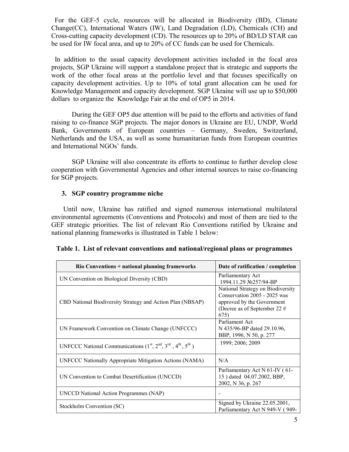For the GEF-5 cycle, resources will be allocated in Biodiversity (BD), Climate Change(CC), International Waters (IW), Land Degradation (LD), Chemicals (CH) and Cross-cutting capacity development (CD). The resources up to 20% of BD/LD STAR can be used for IW focal area, and up to 20% of CC funds can be used for Chemicals.

 In addition to the usual capacity development activities included in the focal area projects, SGP Ukraine will support a standalone project that is strategic and supports the work of the other focal areas at the portfolio level and that focuses specifically on capacity development activities. Up to 10% of total grant allocation can be used for Knowledge Management and capacity development. SGP Ukraine will use up to \$50,000 dollars to organize the Knowledge Fair at the end of OP5 in 2014.

During the GEF OP5 due attention will be paid to the efforts and activities of fund raising to co-finance SGP projects. The major donors in Ukraine are EU, UNDP, World Bank, Governments of European countries – Germany, Sweden, Switzerland, Netherlands and the USA, as well as some humanitarian funds from European countries and International NGOs' funds.

SGP Ukraine will also concentrate its efforts to continue to further develop close cooperation with Governmental Agencies and other internal sources to raise co-financing for SGP projects.

#### **3. SGP country programme niche**

 Until now, Ukraine has ratified and signed numerous international multilateral environmental agreements (Conventions and Protocols) and most of them are tied to the GEF strategic priorities. The list of relevant Rio Conventions ratified by Ukraine and national planning frameworks is illustrated in Table 1 below:

| Rio Conventions + national planning frameworks             | Date of ratification / completion                                                                                                         |
|------------------------------------------------------------|-------------------------------------------------------------------------------------------------------------------------------------------|
| UN Convention on Biological Diversity (CBD)                | Parliamentary Act<br>1994.11.29 №257/94-BP                                                                                                |
| CBD National Biodiversity Strategy and Action Plan (NBSAP) | National Strategy on Biodiversity<br>Conservation 2005 - 2025 was<br>approved by the Government<br>(Decree as of September 22 $#$<br>675) |
| UN Framework Convention on Climate Change (UNFCCC)         | Parliament Act<br>N 435/96-BP dated 29.10.96,<br>BBP, 1996, N 50, p. 277                                                                  |
| UNFCCC National Communications $(1st, 2nd, 3rd, 4th, 5th)$ | 1999; 2006; 2009                                                                                                                          |
| UNFCCC Nationally Appropriate Mitigation Actions (NAMA)    | N/A                                                                                                                                       |
| UN Convention to Combat Desertification (UNCCD)            | Parliamentary Act N 61-IV (61-<br>15) dated 04.07.2002, BBP,<br>2002, N 36, p. 267                                                        |
| UNCCD National Action Programmes (NAP)                     |                                                                                                                                           |
| Stockholm Convention (SC)                                  | Signed by Ukraine 22.05.2001,<br>Parliamentary Act N 949-V (949-                                                                          |

|  | Table 1. List of relevant conventions and national/regional plans or programmes |  |
|--|---------------------------------------------------------------------------------|--|
|  |                                                                                 |  |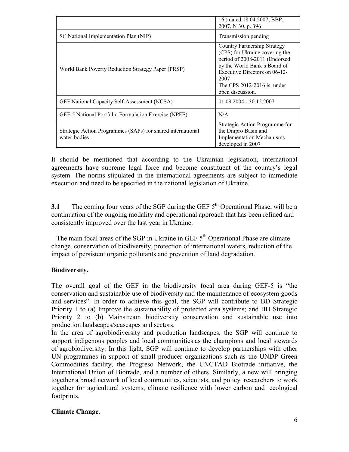|                                                                             | 16) dated 18.04.2007, BBP,<br>2007, N 30, p. 396                                                                                                                                                                           |
|-----------------------------------------------------------------------------|----------------------------------------------------------------------------------------------------------------------------------------------------------------------------------------------------------------------------|
| SC National Implementation Plan (NIP)                                       | Transmission pending                                                                                                                                                                                                       |
| World Bank Poverty Reduction Strategy Paper (PRSP)                          | Country Partnership Strategy<br>(CPS) for Ukraine covering the<br>period of 2008-2011 (Endorsed<br>by the World Bank's Board of<br>Executive Directors on 06-12-<br>2007<br>The CPS 2012-2016 is under<br>open discussion. |
| <b>GEF National Capacity Self-Assessment (NCSA)</b>                         | $01.09.2004 - 30.12.2007$                                                                                                                                                                                                  |
| GEF-5 National Portfolio Formulation Exercise (NPFE)                        | N/A                                                                                                                                                                                                                        |
| Strategic Action Programmes (SAPs) for shared international<br>water-bodies | Strategic Action Programme for<br>the Dnipro Basin and<br><b>Implementation Mechanisms</b><br>developed in 2007                                                                                                            |

It should be mentioned that according to the Ukrainian legislation, international agreements have supreme legal force and become constituent of the country"s legal system. The norms stipulated in the international agreements are subject to immediate execution and need to be specified in the national legislation of Ukraine.

**3.1** The coming four years of the SGP during the GEF  $5<sup>th</sup>$  Operational Phase, will be a continuation of the ongoing modality and operational approach that has been refined and consistently improved over the last year in Ukraine.

The main focal areas of the SGP in Ukraine in GEF  $5<sup>th</sup>$  Operational Phase are climate change, conservation of biodiversity, protection of international waters, reduction of the impact of persistent organic pollutants and prevention of land degradation.

# **Biodiversity.**

The overall goal of the GEF in the biodiversity focal area during GEF-5 is "the conservation and sustainable use of biodiversity and the maintenance of ecosystem goods and services". In order to achieve this goal, the SGP will contribute to BD Strategic Priority 1 to (a) Improve the sustainability of protected area systems; and BD Strategic Priority 2 to (b) Mainstream biodiversity conservation and sustainable use into production landscapes/seascapes and sectors.

In the area of agrobiodiversity and production landscapes, the SGP will continue to support indigenous peoples and local communities as the champions and local stewards of agrobiodiversity. In this light, SGP will continue to develop partnerships with other UN programmes in support of small producer organizations such as the UNDP Green Commodities facility, the Progreso Network, the UNCTAD Biotrade initiative, the International Union of Biotrade, and a number of others. Similarly, a new will bringing together a broad network of local communities, scientists, and policy researchers to work together for agricultural systems, climate resilience with lower carbon and ecological footprints.

# **Climate Change**.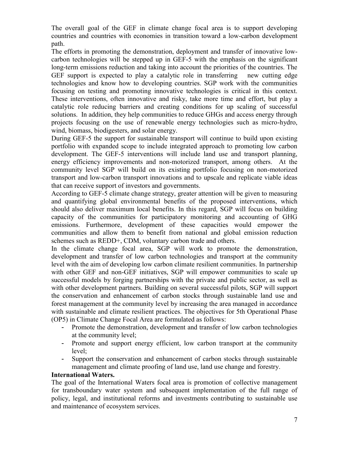The overall goal of the GEF in climate change focal area is to support developing countries and countries with economies in transition toward a low-carbon development path.

The efforts in promoting the demonstration, deployment and transfer of innovative lowcarbon technologies will be stepped up in GEF-5 with the emphasis on the significant long-term emissions reduction and taking into account the priorities of the countries. The GEF support is expected to play a catalytic role in transferring new cutting edge technologies and know how to developing countries. SGP work with the communities focusing on testing and promoting innovative technologies is critical in this context. These interventions, often innovative and risky, take more time and effort, but play a catalytic role reducing barriers and creating conditions for up scaling of successful solutions. In addition, they help communities to reduce GHGs and access energy through projects focusing on the use of renewable energy technologies such as micro-hydro, wind, biomass, biodigesters, and solar energy.

During GEF-5 the support for sustainable transport will continue to build upon existing portfolio with expanded scope to include integrated approach to promoting low carbon development. The GEF-5 interventions will include land use and transport planning, energy efficiency improvements and non-motorized transport, among others. At the community level SGP will build on its existing portfolio focusing on non-motorized transport and low-carbon transport innovations and to upscale and replicate viable ideas that can receive support of investors and governments.

According to GEF-5 climate change strategy, greater attention will be given to measuring and quantifying global environmental benefits of the proposed interventions, which should also deliver maximum local benefits. In this regard, SGP will focus on building capacity of the communities for participatory monitoring and accounting of GHG emissions. Furthermore, development of these capacities would empower the communities and allow them to benefit from national and global emission reduction schemes such as REDD+, CDM, voluntary carbon trade and others.

In the climate change focal area, SGP will work to promote the demonstration, development and transfer of low carbon technologies and transport at the community level with the aim of developing low carbon climate resilient communities. In partnership with other GEF and non-GEF initiatives, SGP will empower communities to scale up successful models by forging partnerships with the private and public sector, as well as with other development partners. Building on several successful pilots, SGP will support the conservation and enhancement of carbon stocks through sustainable land use and forest management at the community level by increasing the area managed in accordance with sustainable and climate resilient practices. The objectives for 5th Operational Phase (OP5) in Climate Change Focal Area are formulated as follows:

- Promote the demonstration, development and transfer of low carbon technologies at the community level;
- Promote and support energy efficient, low carbon transport at the community level;
- Support the conservation and enhancement of carbon stocks through sustainable management and climate proofing of land use, land use change and forestry.

#### **International Waters.**

The goal of the International Waters focal area is promotion of collective management for transboundary water system and subsequent implementation of the full range of policy, legal, and institutional reforms and investments contributing to sustainable use and maintenance of ecosystem services.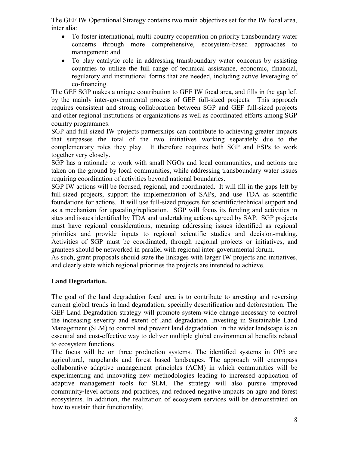The GEF IW Operational Strategy contains two main objectives set for the IW focal area, inter alia:

- To foster international, multi-country cooperation on priority transboundary water concerns through more comprehensive, ecosystem-based approaches to management; and
- To play catalytic role in addressing transboundary water concerns by assisting countries to utilize the full range of technical assistance, economic, financial, regulatory and institutional forms that are needed, including active leveraging of co-financing.

The GEF SGP makes a unique contribution to GEF IW focal area, and fills in the gap left by the mainly inter-governmental process of GEF full-sized projects. This approach requires consistent and strong collaboration between SGP and GEF full-sized projects and other regional institutions or organizations as well as coordinated efforts among SGP country programmes.

SGP and full-sized IW projects partnerships can contribute to achieving greater impacts that surpasses the total of the two initiatives working separately due to the complementary roles they play. It therefore requires both SGP and FSPs to work together very closely.

SGP has a rationale to work with small NGOs and local communities, and actions are taken on the ground by local communities, while addressing transboundary water issues requiring coordination of activities beyond national boundaries.

SGP IW actions will be focused, regional, and coordinated. It will fill in the gaps left by full-sized projects, support the implementation of SAPs, and use TDA as scientific foundations for actions. It will use full-sized projects for scientific/technical support and as a mechanism for upscaling/replication. SGP will focus its funding and activities in sites and issues identified by TDA and undertaking actions agreed by SAP. SGP projects must have regional considerations, meaning addressing issues identified as regional priorities and provide inputs to regional scientific studies and decision-making. Activities of SGP must be coordinated, through regional projects or initiatives, and grantees should be networked in parallel with regional inter-governmental forum.

As such, grant proposals should state the linkages with larger IW projects and initiatives, and clearly state which regional priorities the projects are intended to achieve.

# **Land Degradation.**

The goal of the land degradation focal area is to contribute to arresting and reversing current global trends in land degradation, specially desertification and deforestation. The GEF Land Degradation strategy will promote system-wide change necessary to control the increasing severity and extent of land degradation. Investing in Sustainable Land Management (SLM) to control and prevent land degradation in the wider landscape is an essential and cost-effective way to deliver multiple global environmental benefits related to ecosystem functions.

The focus will be on three production systems. The identified systems in OP5 are agricultural, rangelands and forest based landscapes. The approach will encompass collaborative adaptive management principles (ACM) in which communities will be experimenting and innovating new methodologies leading to increased application of adaptive management tools for SLM. The strategy will also pursue improved community‐level actions and practices, and reduced negative impacts on agro and forest ecosystems. In addition, the realization of ecosystem services will be demonstrated on how to sustain their functionality.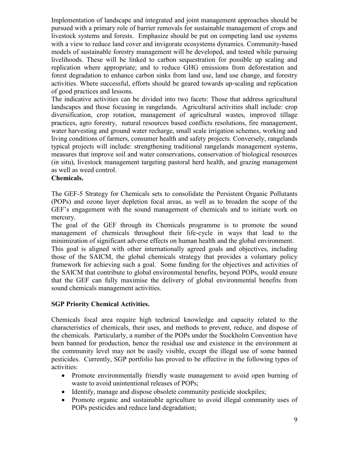Implementation of landscape and integrated and joint management approaches should be pursued with a primary role of barrier removals for sustainable management of crops and livestock systems and forests. Emphasize should be put on competing land use systems with a view to reduce land cover and invigorate ecosystems dynamics. Community-based models of sustainable forestry management will be developed, and tested while pursuing livelihoods. These will be linked to carbon sequestration for possible up scaling and replication where appropriate; and to reduce GHG emissions from deforestation and forest degradation to enhance carbon sinks from land use, land use change, and forestry activities. Where successful, efforts should be geared towards up‐scaling and replication of good practices and lessons.

The indicative activities can be divided into two facets: Those that address agricultural landscapes and those focusing in rangelands. Agricultural activities shall include: crop diversification, crop rotation, management of agricultural wastes, improved tillage practices, agro forestry, natural resources based conflicts resolutions, fire management, water harvesting and ground water recharge, small scale irrigation schemes, working and living conditions of farmers, consumer health and safety projects. Conversely, rangelands typical projects will include: strengthening traditional rangelands management systems, measures that improve soil and water conservations, conservation of biological resources (in situ), livestock management targeting pastoral herd health, and grazing management as well as weed control.

#### **Chemicals.**

The GEF-5 Strategy for Chemicals sets to consolidate the Persistent Organic Pollutants (POPs) and ozone layer depletion focal areas, as well as to broaden the scope of the GEF"s engagement with the sound management of chemicals and to initiate work on mercury.

The goal of the GEF through its Chemicals programme is to promote the sound management of chemicals throughout their life-cycle in ways that lead to the minimization of significant adverse effects on human health and the global environment. This goal is aligned with other internationally agreed goals and objectives, including those of the SAICM, the global chemicals strategy that provides a voluntary policy framework for achieving such a goal. Some funding for the objectives and activities of the SAICM that contribute to global environmental benefits, beyond POPs, would ensure that the GEF can fully maximise the delivery of global environmental benefits from sound chemicals management activities.

# **SGP Priority Chemical Activities.**

Chemicals focal area require high technical knowledge and capacity related to the characteristics of chemicals, their uses, and methods to prevent, reduce, and dispose of the chemicals. Particularly, a number of the POPs under the Stockholm Convention have been banned for production, hence the residual use and existence in the environment at the community level may not be easily visible, except the illegal use of some banned pesticides. Currently, SGP portfolio has proved to be effective in the following types of activities:

- Promote environmentally friendly waste management to avoid open burning of waste to avoid unintentional releases of POPs;
- Identify, manage and dispose obsolete community pesticide stockpiles;
- Promote organic and sustainable agriculture to avoid illegal community uses of POPs pesticides and reduce land degradation;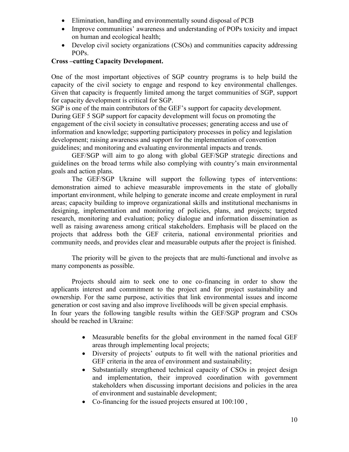- Elimination, handling and environmentally sound disposal of PCB
- Improve communities' awareness and understanding of POPs toxicity and impact on human and ecological health;
- Develop civil society organizations (CSOs) and communities capacity addressing POPs.

# **Cross –cutting Capacity Development.**

One of the most important objectives of SGP country programs is to help build the capacity of the civil society to engage and respond to key environmental challenges. Given that capacity is frequently limited among the target communities of SGP, support for capacity development is critical for SGP.

SGP is one of the main contributors of the GEF"s support for capacity development. During GEF 5 SGP support for capacity development will focus on promoting the engagement of the civil society in consultative processes; generating access and use of information and knowledge; supporting participatory processes in policy and legislation development; raising awareness and support for the implementation of convention guidelines; and monitoring and evaluating environmental impacts and trends.

GEF/SGP will aim to go along with global GEF/SGP strategic directions and guidelines on the broad terms while also complying with country"s main environmental goals and action plans.

The GEF/SGP Ukraine will support the following types of interventions: demonstration aimed to achieve measurable improvements in the state of globally important environment, while helping to generate income and create employment in rural areas; capacity building to improve organizational skills and institutional mechanisms in designing, implementation and monitoring of policies, plans, and projects; targeted research, monitoring and evaluation; policy dialogue and information dissemination as well as raising awareness among critical stakeholders. Emphasis will be placed on the projects that address both the GEF criteria, national environmental priorities and community needs, and provides clear and measurable outputs after the project is finished.

The priority will be given to the projects that are multi-functional and involve as many components as possible.

Projects should aim to seek one to one co-financing in order to show the applicants interest and commitment to the project and for project sustainability and ownership. For the same purpose, activities that link environmental issues and income generation or cost saving and also improve livelihoods will be given special emphasis. In four years the following tangible results within the GEF/SGP program and CSOs should be reached in Ukraine:

> Measurable benefits for the global environment in the named focal GEF areas through implementing local projects;

- Diversity of projects' outputs to fit well with the national priorities and GEF criteria in the area of environment and sustainability;
- Substantially strengthened technical capacity of CSOs in project design and implementation, their improved coordination with government stakeholders when discussing important decisions and policies in the area of environment and sustainable development;
- Co-financing for the issued projects ensured at  $100:100$ ,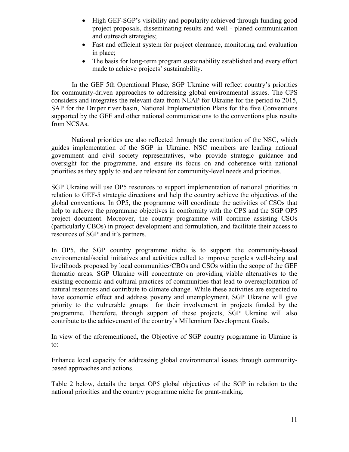- High GEF-SGP"s visibility and popularity achieved through funding good project proposals, disseminating results and well - planed communication and outreach strategies;
- Fast and efficient system for project clearance, monitoring and evaluation in place;
- The basis for long-term program sustainability established and every effort made to achieve projects' sustainability.

In the GEF 5th Operational Phase, SGP Ukraine will reflect country"s priorities for community-driven approaches to addressing global environmental issues. The CPS considers and integrates the relevant data from NEAP for Ukraine for the period to 2015, SAP for the Dniper river basin, National Implementation Plans for the five Conventions supported by the GEF and other national communications to the conventions plus results from NCSAs.

National priorities are also reflected through the constitution of the NSC, which guides implementation of the SGP in Ukraine. NSC members are leading national government and civil society representatives, who provide strategic guidance and oversight for the programme, and ensure its focus on and coherence with national priorities as they apply to and are relevant for community-level needs and priorities.

SGP Ukraine will use OP5 resources to support implementation of national priorities in relation to GEF-5 strategic directions and help the country achieve the objectives of the global conventions. In OP5, the programme will coordinate the activities of CSOs that help to achieve the programme objectives in conformity with the CPS and the SGP OP5 project document. Moreover, the country programme will continue assisting CSOs (particularly CBOs) in project development and formulation, and facilitate their access to resources of SGP and it's partners.

In OP5, the SGP country programme niche is to support the community-based environmental/social initiatives and activities called to improve people's well-being and livelihoods proposed by local communities/CBOs and CSOs within the scope of the GEF thematic areas. SGP Ukraine will concentrate on providing viable alternatives to the existing economic and cultural practices of communities that lead to overexploitation of natural resources and contribute to climate change. While these activities are expected to have economic effect and address poverty and unemployment, SGP Ukraine will give priority to the vulnerable groups for their involvement in projects funded by the programme. Therefore, through support of these projects, SGP Ukraine will also contribute to the achievement of the country"s Millennium Development Goals.

In view of the aforementioned, the Objective of SGP country programme in Ukraine is to:

Enhance local capacity for addressing global environmental issues through communitybased approaches and actions.

Table 2 below, details the target OP5 global objectives of the SGP in relation to the national priorities and the country programme niche for grant-making.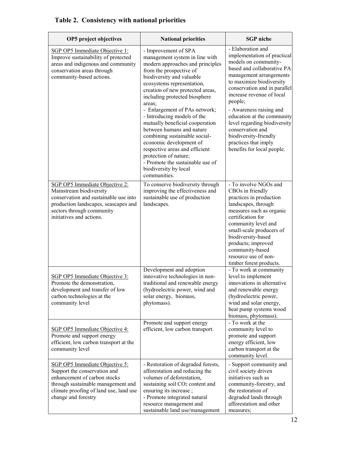| <b>OP5</b> project objectives                                                                                                                                                                         | <b>National priorities</b>                                                                                                                                                                                                                                                                                                                                                                                                                                                                                                                                                                          | <b>SGP</b> niche                                                                                                                                                                                                                                                                                                                                                                                                                  |
|-------------------------------------------------------------------------------------------------------------------------------------------------------------------------------------------------------|-----------------------------------------------------------------------------------------------------------------------------------------------------------------------------------------------------------------------------------------------------------------------------------------------------------------------------------------------------------------------------------------------------------------------------------------------------------------------------------------------------------------------------------------------------------------------------------------------------|-----------------------------------------------------------------------------------------------------------------------------------------------------------------------------------------------------------------------------------------------------------------------------------------------------------------------------------------------------------------------------------------------------------------------------------|
| SGP OP5 Immediate Objective 1:<br>Improve sustainability of protected<br>areas and indigenous and community<br>conservation areas through<br>community-based actions.                                 | - Improvement of SPA<br>management system in line with<br>modern approaches and principles<br>from the prospective of<br>biodiversity and valuable<br>ecosystems representation,<br>creation of new protected areas,<br>including protected biosphere<br>areas:<br>- Enlargement of PAs network;<br>- Introducing models of the<br>mutually beneficial cooperation<br>between humans and nature<br>combining sustainable social-<br>economic development of<br>respective areas and efficient<br>protection of nature;<br>- Promote the sustainable use of<br>biodiversity by local<br>communities. | - Elaboration and<br>implementation of practical<br>models on community-<br>based and collaborative PA<br>management arrangements<br>to maximize biodiversity<br>conservation and in parallel<br>increase revenue of local<br>people;<br>- Awareness raising and<br>education at the community<br>level regarding biodiversity<br>conservation and<br>biodiversity-friendly<br>practices that imply<br>benefits for local people. |
| SGP OP5 Immediate Objective 2:<br>Mainstream biodiversity<br>conservation and sustainable use into<br>production landscapes, seascapes and<br>sectors through community<br>initiatives and actions.   | To conserve biodiversity through<br>improving the effectiveness and<br>sustainable use of production<br>landscapes.                                                                                                                                                                                                                                                                                                                                                                                                                                                                                 | - To involve NGOs and<br>CBOs in friendly<br>practices in production<br>landscapes, through<br>measures such as organic<br>certification for<br>community level and<br>small-scale producers of<br>biodiversity-based<br>products; improved<br>community-based<br>resource use of non-<br>timber forest products.                                                                                                                 |
| SGP OP5 Immediate Objective 3:<br>Promote the demonstration,<br>development and transfer of low<br>carbon technologies at the<br>community level                                                      | Development and adoption<br>innovative technologies in non-<br>traditional and renewable energy<br>(hydroelectric power, wind and<br>solar energy, biomass,<br>phytomass).                                                                                                                                                                                                                                                                                                                                                                                                                          | - To work at community<br>level to implement<br>innovations in alternative<br>and renewable energy<br>(hydroelectric power,<br>wind and solar energy,<br>heat pump systems wood<br>biomass, phytomass).                                                                                                                                                                                                                           |
| <b>SGP OP5 Immediate Objective 4:</b><br>Promote and support energy<br>efficient, low carbon transport at the<br>community level                                                                      | Promote and support energy<br>efficient, low carbon transport.                                                                                                                                                                                                                                                                                                                                                                                                                                                                                                                                      | - To work at the<br>community level to<br>promote and support<br>energy efficient, low<br>carbon transport at the<br>community level.                                                                                                                                                                                                                                                                                             |
| SGP OP5 Immediate Objective 5:<br>Support the conservation and<br>enhancement of carbon stocks<br>through sustainable management and<br>climate proofing of land use, land use<br>change and forestry | - Restoration of degraded forests,<br>afforestation and reducing the<br>volumes of deforestation,<br>sustaining soil CO <sub>2</sub> content and<br>ensuring its increase;<br>- Promote integrated natural<br>resource management and<br>sustainable land use/management                                                                                                                                                                                                                                                                                                                            | - Support community and<br>civil society driven<br>initiatives such as<br>community-forestry, and<br>the restoration of<br>degraded lands through<br>afforestation and other<br>measures;                                                                                                                                                                                                                                         |

# **Table 2. Consistency with national priorities**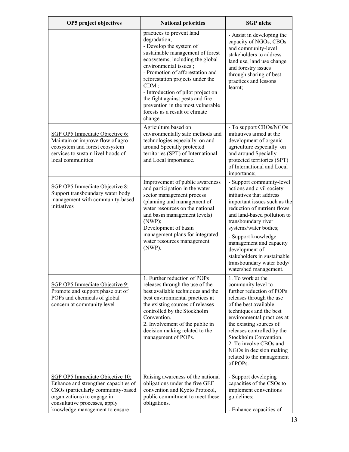| <b>OP5</b> project objectives                                                                                                                                                                                   | <b>National priorities</b>                                                                                                                                                                                                                                                                                                                                                                                           | <b>SGP</b> niche                                                                                                                                                                                                                                                                                                                                                                          |
|-----------------------------------------------------------------------------------------------------------------------------------------------------------------------------------------------------------------|----------------------------------------------------------------------------------------------------------------------------------------------------------------------------------------------------------------------------------------------------------------------------------------------------------------------------------------------------------------------------------------------------------------------|-------------------------------------------------------------------------------------------------------------------------------------------------------------------------------------------------------------------------------------------------------------------------------------------------------------------------------------------------------------------------------------------|
|                                                                                                                                                                                                                 | practices to prevent land<br>degradation;<br>- Develop the system of<br>sustainable management of forest<br>ecosystems, including the global<br>environmental issues;<br>- Promotion of afforestation and<br>reforestation projects under the<br>$CDM$ ;<br>- Introduction of pilot project on<br>the fight against pests and fire<br>prevention in the most vulnerable<br>forests as a result of climate<br>change. | - Assist in developing the<br>capacity of NGOs, CBOs<br>and community-level<br>stakeholders to address<br>land use, land use change<br>and forestry issues<br>through sharing of best<br>practices and lessons<br>learnt;                                                                                                                                                                 |
| SGP OP5 Immediate Objective 6:<br>Maintain or improve flow of agro-<br>ecosystem and forest ecosystem<br>services to sustain livelihoods of<br>local communities                                                | Agriculture based on<br>environmentally safe methods and<br>technologies especially on and<br>around Specially protected<br>territories (SPT) of International<br>and Local importance.                                                                                                                                                                                                                              | - To support CBOs/NGOs<br>initiatives aimed at the<br>development of organic<br>agriculture especially on<br>and around Specially<br>protected territories (SPT)<br>of International and Local<br>importance;                                                                                                                                                                             |
| SGP OP5 Immediate Objective 8:<br>Support transboundary water body<br>management with community-based<br>initiatives                                                                                            | Improvement of public awareness<br>and participation in the water<br>sector management process<br>(planning and management of<br>water resources on the national<br>and basin management levels)<br>(NWP);<br>Development of basin<br>management plans for integrated<br>water resources management<br>(NWP).                                                                                                        | - Support community-level<br>actions and civil society<br>initiatives that address<br>important issues such as the<br>reduction of nutrient flows<br>and land-based pollution to<br>transboundary river<br>systems/water bodies;<br>- Support knowledge<br>management and capacity<br>development of<br>stakeholders in sustainable<br>transboundary water body/<br>watershed management. |
| SGP OP5 Immediate Objective 9:<br>Promote and support phase out of<br>POPs and chemicals of global<br>concern at community level                                                                                | 1. Further reduction of POPs<br>releases through the use of the<br>best available techniques and the<br>best environmental practices at<br>the existing sources of releases<br>controlled by the Stockholm<br>Convention.<br>2. Involvement of the public in<br>decision making related to the<br>management of POPs.                                                                                                | 1. To work at the<br>community level to<br>further reduction of POPs<br>releases through the use<br>of the best available<br>techniques and the best<br>environmental practices at<br>the existing sources of<br>releases controlled by the<br>Stockholm Convention.<br>2. To involve CBOs and<br>NGOs in decision making<br>related to the management<br>of POPs.                        |
| SGP OP5 Immediate Objective 10:<br>Enhance and strengthen capacities of<br>CSOs (particularly community-based<br>organizations) to engage in<br>consultative processes, apply<br>knowledge management to ensure | Raising awareness of the national<br>obligations under the five GEF<br>convention and Kyoto Protocol,<br>public commitment to meet these<br>obligations.                                                                                                                                                                                                                                                             | - Support developing<br>capacities of the CSOs to<br>implement conventions<br>guidelines;<br>- Enhance capacities of                                                                                                                                                                                                                                                                      |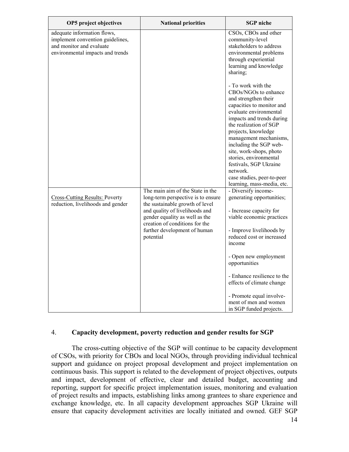|                                                                                                                                                                                                                          | CSOs, CBOs and other                                                                                                                                                                                                                                                                                                                                                                                               |
|--------------------------------------------------------------------------------------------------------------------------------------------------------------------------------------------------------------------------|--------------------------------------------------------------------------------------------------------------------------------------------------------------------------------------------------------------------------------------------------------------------------------------------------------------------------------------------------------------------------------------------------------------------|
|                                                                                                                                                                                                                          | community-level<br>stakeholders to address<br>environmental problems<br>through experiential<br>learning and knowledge<br>sharing;                                                                                                                                                                                                                                                                                 |
|                                                                                                                                                                                                                          | - To work with the<br>CBOs/NGOs to enhance<br>and strengthen their<br>capacities to monitor and<br>evaluate environmental<br>impacts and trends during<br>the realization of SGP<br>projects, knowledge<br>management mechanisms,<br>including the SGP web-<br>site, work-shops, photo<br>stories, environmental<br>festivals, SGP Ukraine<br>network.<br>case studies, peer-to-peer<br>learning, mass-media, etc. |
| long-term perspective is to ensure<br>the sustainable growth of level<br>and quality of livelihoods and<br>gender equality as well as the<br>creation of conditions for the<br>further development of human<br>potential | - Diversify income-<br>generating opportunities;<br>- Increase capacity for<br>viable economic practices<br>- Improve livelihoods by<br>reduced cost or increased<br>income<br>- Open new employment<br>opportunities<br>- Enhance resilience to the<br>effects of climate change<br>- Promote equal involve-<br>ment of men and women                                                                             |
|                                                                                                                                                                                                                          | The main aim of the State in the                                                                                                                                                                                                                                                                                                                                                                                   |

#### 4. **Capacity development, poverty reduction and gender results for SGP**

The cross-cutting objective of the SGP will continue to be capacity development of CSOs, with priority for CBOs and local NGOs, through providing individual technical support and guidance on project proposal development and project implementation on continuous basis. This support is related to the development of project objectives, outputs and impact, development of effective, clear and detailed budget, accounting and reporting, support for specific project implementation issues, monitoring and evaluation of project results and impacts, establishing links among grantees to share experience and exchange knowledge, etc. In all capacity development approaches SGP Ukraine will ensure that capacity development activities are locally initiated and owned. GEF SGP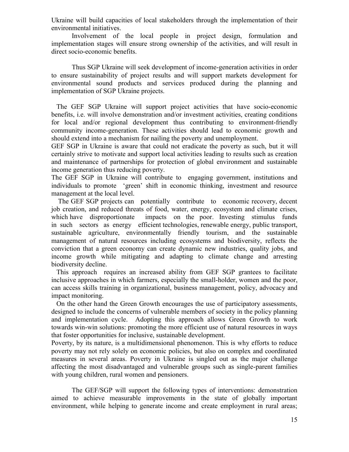Ukraine will build capacities of local stakeholders through the implementation of their environmental initiatives.

Involvement of the local people in project design, formulation and implementation stages will ensure strong ownership of the activities, and will result in direct socio-economic benefits.

Thus SGP Ukraine will seek development of income-generation activities in order to ensure sustainability of project results and will support markets development for environmental sound products and services produced during the planning and implementation of SGP Ukraine projects.

 The GEF SGP Ukraine will support project activities that have socio-economic benefits, i.e. will involve demonstration and/or investment activities, creating conditions for local and/or regional development thus contributing to environment-friendly community income-generation. These activities should lead to economic growth and should extend into a mechanism for nailing the poverty and unemployment.

GEF SGP in Ukraine is aware that could not eradicate the poverty as such, but it will certainly strive to motivate and support local activities leading to results such as creation and maintenance of partnerships for protection of global environment and sustainable income generation thus reducing poverty.

The GEF SGP in Ukraine will contribute to engaging government, institutions and individuals to promote "green" shift in economic thinking, investment and resource management at the local level.

 The GEF SGP projects can potentially contribute to economic recovery, decent job creation, and reduced threats of food, water, energy, ecosystem and climate crises, which have disproportionate impacts on the poor. Investing stimulus funds in such sectors as energy efficient technologies, renewable energy, public transport, sustainable agriculture, environmentally friendly tourism, and the sustainable management of natural resources including ecosystems and biodiversity, reflects the conviction that a green economy can create dynamic new industries, quality jobs, and income growth while mitigating and adapting to climate change and arresting biodiversity decline.

 This approach requires an increased ability from GEF SGP grantees to facilitate inclusive approaches in which farmers, especially the small-holder, women and the poor, can access skills training in organizational, business management, policy, advocacy and impact monitoring.

 On the other hand the Green Growth encourages the use of participatory assessments, designed to include the concerns of vulnerable members of society in the policy planning and implementation cycle. Adopting this approach allows Green Growth to work towards win-win solutions: promoting the more efficient use of natural resources in ways that foster opportunities for inclusive, sustainable development.

Poverty, by its nature, is a multidimensional phenomenon. This is why efforts to reduce poverty may not rely solely on economic policies, but also on complex and coordinated measures in several areas. Poverty in Ukraine is singled out as the major challenge affecting the most disadvantaged and vulnerable groups such as single-parent families with young children, rural women and pensioners.

The GEF/SGP will support the following types of interventions: demonstration aimed to achieve measurable improvements in the state of globally important environment, while helping to generate income and create employment in rural areas;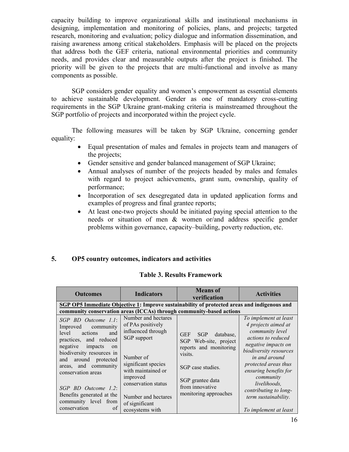capacity building to improve organizational skills and institutional mechanisms in designing, implementation and monitoring of policies, plans, and projects; targeted research, monitoring and evaluation; policy dialogue and information dissemination, and raising awareness among critical stakeholders. Emphasis will be placed on the projects that address both the GEF criteria, national environmental priorities and community needs, and provides clear and measurable outputs after the project is finished. The priority will be given to the projects that are multi-functional and involve as many components as possible.

SGP considers gender equality and women"s empowerment as essential elements to achieve sustainable development. Gender as one of mandatory cross-cutting requirements in the SGP Ukraine grant-making criteria is mainstreamed throughout the SGP portfolio of projects and incorporated within the project cycle.

The following measures will be taken by SGP Ukraine, concerning gender equality:

- Equal presentation of males and females in projects team and managers of the projects;
- Gender sensitive and gender balanced management of SGP Ukraine;
- Annual analyses of number of the projects headed by males and females with regard to project achievements, grant sum, ownership, quality of performance;
- Incorporation of sex desegregated data in updated application forms and examples of progress and final grantee reports;
- At least one-two projects should be initiated paying special attention to the needs or situation of men & women or/and address specific gender problems within governance, capacity–building, poverty reduction, etc.

# **5. OP5 country outcomes, indicators and activities**

| <b>Outcomes</b>                                                                                                                                                                                                                                                                                               | <b>Indicators</b>                                                                                                                                                                                                   | <b>Means</b> of<br>verification                                                                                                                                                             | <b>Activities</b>                                                                                                                                                                                                                                                                      |  |  |
|---------------------------------------------------------------------------------------------------------------------------------------------------------------------------------------------------------------------------------------------------------------------------------------------------------------|---------------------------------------------------------------------------------------------------------------------------------------------------------------------------------------------------------------------|---------------------------------------------------------------------------------------------------------------------------------------------------------------------------------------------|----------------------------------------------------------------------------------------------------------------------------------------------------------------------------------------------------------------------------------------------------------------------------------------|--|--|
|                                                                                                                                                                                                                                                                                                               | SGP OP5 Immediate Objective 1: Improve sustainability of protected areas and indigenous and<br>community conservation areas (ICCAs) through community-based actions                                                 |                                                                                                                                                                                             |                                                                                                                                                                                                                                                                                        |  |  |
| SGP BD Outcome 1.1:<br>Improved community<br>level<br>actions<br>and<br>practices, and reduced<br>negative<br>impacts<br>on<br>biodiversity resources in<br>around protected<br>and<br>areas, and community<br>conservation areas<br>SGP BD Outcome 1.2:<br>Benefits generated at the<br>community level from | Number and hectares<br>of PAs positively<br>influenced through<br>SGP support<br>Number of<br>significant species<br>with maintained or<br>improved<br>conservation status<br>Number and hectares<br>of significant | <b>SGP</b><br><b>GEF</b><br>database.<br>SGP<br>Web-site, project<br>reports and monitoring<br>visits.<br>SGP case studies.<br>SGP grantee data<br>from innovative<br>monitoring approaches | To implement at least<br>4 projects aimed at<br>community level<br>actions to reduced<br>negative impacts on<br>biodiversity resources<br>in and around<br>protected areas thus<br>ensuring benefits for<br>community<br>livelihoods.<br>contributing to long-<br>term sustainability. |  |  |
| of<br>conservation                                                                                                                                                                                                                                                                                            | ecosystems with                                                                                                                                                                                                     |                                                                                                                                                                                             | To implement at least                                                                                                                                                                                                                                                                  |  |  |

# **Table 3. Results Framework**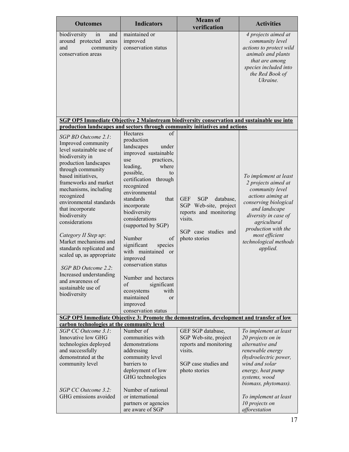| <b>Outcomes</b>                                                                                                                                                                                                                                                                                                                                                                                                                                                                                                                     | <b>Indicators</b>                                                                                                                                                                                                                                                                                                                                                                                                                                                                                                                             | <b>Means</b> of<br>verification                                                                                                                                            | <b>Activities</b>                                                                                                                                                                                                                                    |
|-------------------------------------------------------------------------------------------------------------------------------------------------------------------------------------------------------------------------------------------------------------------------------------------------------------------------------------------------------------------------------------------------------------------------------------------------------------------------------------------------------------------------------------|-----------------------------------------------------------------------------------------------------------------------------------------------------------------------------------------------------------------------------------------------------------------------------------------------------------------------------------------------------------------------------------------------------------------------------------------------------------------------------------------------------------------------------------------------|----------------------------------------------------------------------------------------------------------------------------------------------------------------------------|------------------------------------------------------------------------------------------------------------------------------------------------------------------------------------------------------------------------------------------------------|
| biodiversity<br>and<br>in<br>around protected areas<br>and<br>community<br>conservation areas                                                                                                                                                                                                                                                                                                                                                                                                                                       | maintained or<br>improved<br>conservation status                                                                                                                                                                                                                                                                                                                                                                                                                                                                                              |                                                                                                                                                                            | 4 projects aimed at<br>community level<br>actions to protect wild<br>animals and plants<br>that are among<br>species included into<br>the Red Book of<br>Ukraine.                                                                                    |
|                                                                                                                                                                                                                                                                                                                                                                                                                                                                                                                                     |                                                                                                                                                                                                                                                                                                                                                                                                                                                                                                                                               | SGP OP5 Immediate Objective 2 Mainstream biodiversity conservation and sustainable use into<br>production landscapes and sectors through community initiatives and actions |                                                                                                                                                                                                                                                      |
| SGP BD Outcome 2.1:<br>Improved community<br>level sustainable use of<br>biodiversity in<br>production landscapes<br>through community<br>based initiatives.<br>frameworks and market<br>mechanisms, including<br>recognized<br>environmental standards<br>that incorporate<br>biodiversity<br>considerations<br>Category II Step up:<br>Market mechanisms and<br>standards replicated and<br>scaled up, as appropriate<br>SGP BD Outcome 2.2:<br>Increased understanding<br>and awareness of<br>sustainable use of<br>biodiversity | <b>Hectares</b><br>of<br>production<br>landscapes<br>under<br>improved sustainable<br>practices,<br>use<br>where<br>leading,<br>possible,<br>to<br>certification<br>through<br>recognized<br>environmental<br>that<br>standards<br>incorporate<br>biodiversity<br>considerations<br>(supported by SGP)<br>Number<br>of<br>significant<br>species<br>with maintained or<br>improved<br>conservation status<br>Number and hectares<br>of<br>significant<br>with<br>ecosystems<br>maintained<br><sub>or</sub><br>improved<br>conservation status | <b>GEF</b><br><b>SGP</b><br>database,<br>SGP Web-site, project<br>reports and monitoring<br>visits.<br>SGP case studies and<br>photo stories                               | To implement at least<br>2 projects aimed at<br>community level<br>actions aiming at<br>conserving biological<br>and landscape<br>diversity in case of<br>agricultural<br>production with the<br>most efficient<br>technological methods<br>applied. |
| carbon technologies at the community level                                                                                                                                                                                                                                                                                                                                                                                                                                                                                          |                                                                                                                                                                                                                                                                                                                                                                                                                                                                                                                                               | SGP OP5 Immediate Objective 3: Promote the demonstration, development and transfer of low                                                                                  |                                                                                                                                                                                                                                                      |
| SGP CC Outcome 3.1:<br>Innovative low GHG<br>technologies deployed<br>and successfully<br>demonstrated at the<br>community level<br>SGP CC Outcome 3.2:<br>GHG emissions avoided                                                                                                                                                                                                                                                                                                                                                    | Number of<br>communities with<br>demonstrations<br>addressing<br>community level<br>barriers to<br>deployment of low<br>GHG technologies<br>Number of national<br>or international                                                                                                                                                                                                                                                                                                                                                            | GEF SGP database,<br>SGP Web-site, project<br>reports and monitoring<br>visits.<br>SGP case studies and<br>photo stories                                                   | To implement at least<br>20 projects on in<br>alternative and<br>renewable energy<br>(hydroelectric power,<br>wind and solar<br>energy, heat pump<br>systems, wood<br>biomass, phytomass).                                                           |
|                                                                                                                                                                                                                                                                                                                                                                                                                                                                                                                                     | partners or agencies<br>are aware of SGP                                                                                                                                                                                                                                                                                                                                                                                                                                                                                                      |                                                                                                                                                                            | To implement at least<br>10 projects on<br>afforestation                                                                                                                                                                                             |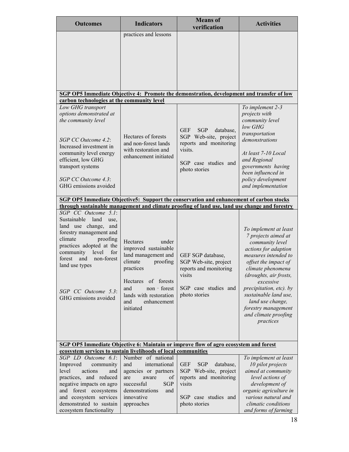| <b>Outcomes</b>                                                                                                                                                                                                                                                                           | <b>Indicators</b>                                                                                                                                                                                               | <b>Means</b> of<br>verification                                                                                                              | <b>Activities</b>                                                                                                                                                                                                                                                                                                                       |  |  |
|-------------------------------------------------------------------------------------------------------------------------------------------------------------------------------------------------------------------------------------------------------------------------------------------|-----------------------------------------------------------------------------------------------------------------------------------------------------------------------------------------------------------------|----------------------------------------------------------------------------------------------------------------------------------------------|-----------------------------------------------------------------------------------------------------------------------------------------------------------------------------------------------------------------------------------------------------------------------------------------------------------------------------------------|--|--|
|                                                                                                                                                                                                                                                                                           | practices and lessons                                                                                                                                                                                           |                                                                                                                                              |                                                                                                                                                                                                                                                                                                                                         |  |  |
| carbon technologies at the community level                                                                                                                                                                                                                                                |                                                                                                                                                                                                                 | SGP OP5 Immediate Objective 4: Promote the demonstration, development and transfer of low                                                    |                                                                                                                                                                                                                                                                                                                                         |  |  |
| Low GHG transport<br>options demonstrated at<br>the community level<br>SGP CC Outcome 4.2:<br>Increased investment in<br>community level energy<br>efficient, low GHG<br>transport systems<br>SGP CC Outcome 4.3:<br>GHG emissions avoided                                                | Hectares of forests<br>and non-forest lands<br>with restoration and<br>enhancement initiated                                                                                                                    | <b>GEF</b><br><b>SGP</b><br>database,<br>SGP Web-site, project<br>reports and monitoring<br>visits.<br>SGP case studies and<br>photo stories | To implement 2-3<br>projects with<br>community level<br>low GHG<br>transportation<br>demonstrations<br>At least 7-10 Local<br>and Regional<br>governments having<br>been influenced in<br>policy development<br>and implementation                                                                                                      |  |  |
|                                                                                                                                                                                                                                                                                           | <b>SGP OP5 Immediate Objective5: Support the conservation and enhancement of carbon stocks</b><br>through sustainable management and climate proofing of land use, land use change and forestry                 |                                                                                                                                              |                                                                                                                                                                                                                                                                                                                                         |  |  |
| SGP CC Outcome 5.1:<br>Sustainable<br>land<br>use.<br>land use change,<br>and<br>forestry management and<br>climate<br>proofing<br>practices adopted at the<br>level<br>for<br>community<br>non-forest<br>forest<br>and<br>land use types<br>SGP CC Outcome 5.3:<br>GHG emissions avoided | Hectares<br>under<br>improved sustainable<br>land management and<br>climate<br>proofing<br>practices<br>Hectares of forests<br>and<br>non - forest<br>lands with restoration<br>enhancement<br>and<br>initiated | GEF SGP database,<br>SGP Web-site, project<br>reports and monitoring<br>visits<br>SGP case studies and<br>photo stories                      | To implement at least<br>7 projects aimed at<br>community level<br>actions for adaption<br>measures intended to<br>offset the impact of<br>climate phenomena<br>(droughts, air frosts,<br>excessive<br>precipitation, etc). by<br>sustainable land use,<br>land use change,<br>forestry management<br>and climate proofing<br>practices |  |  |
| ecosystem services to sustain livelihoods of local communities                                                                                                                                                                                                                            |                                                                                                                                                                                                                 | SGP OP5 Immediate Objective 6: Maintain or improve flow of agro ecosystem and forest                                                         |                                                                                                                                                                                                                                                                                                                                         |  |  |
| SGP LD Outcome 6.1:<br>Improved<br>community<br>level<br>actions<br>and<br>practices, and reduced<br>negative impacts on agro<br>and forest ecosystems<br>and ecosystem services<br>demonstrated to sustain<br>ecosystem functionality                                                    | Number of national<br>international<br>and<br>agencies or partners<br>of<br>are<br>aware<br><b>SGP</b><br>successful<br>demonstrations<br>and<br>innovative<br>approaches                                       | <b>GEF</b><br><b>SGP</b><br>database,<br>SGP Web-site, project<br>reports and monitoring<br>visits<br>SGP case studies and<br>photo stories  | To implement at least<br>10 pilot projects<br>aimed at community<br>level actions of<br>development of<br>organic agriculture in<br>various natural and<br>climatic conditions<br>and forms of farming                                                                                                                                  |  |  |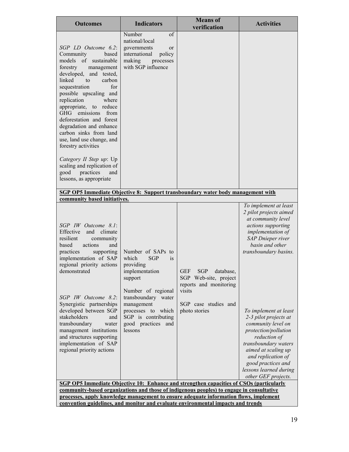| <b>Outcomes</b>                                                                                                                                                                                                                                                                                                                                                                                                                                                                                                                    | <b>Indicators</b>                                                                                                                                                                                                                 | <b>Means</b> of<br>verification                                                                                                                                                                                           | <b>Activities</b>                                                                                                                                                                                                                                                                                                                                                                                                                             |  |
|------------------------------------------------------------------------------------------------------------------------------------------------------------------------------------------------------------------------------------------------------------------------------------------------------------------------------------------------------------------------------------------------------------------------------------------------------------------------------------------------------------------------------------|-----------------------------------------------------------------------------------------------------------------------------------------------------------------------------------------------------------------------------------|---------------------------------------------------------------------------------------------------------------------------------------------------------------------------------------------------------------------------|-----------------------------------------------------------------------------------------------------------------------------------------------------------------------------------------------------------------------------------------------------------------------------------------------------------------------------------------------------------------------------------------------------------------------------------------------|--|
| SGP LD Outcome 6.2:<br>Community<br>based<br>models of sustainable<br>forestry<br>management<br>developed, and tested,<br>linked<br>to<br>carbon<br>for<br>sequestration<br>possible upscaling and<br>replication<br>where<br>appropriate, to reduce<br>GHG emissions<br>from<br>deforestation and forest<br>degradation and enhance<br>carbon sinks from land<br>use, land use change, and<br>forestry activities<br>Category II Step up: Up<br>scaling and replication of<br>good<br>practices<br>and<br>lessons, as appropriate | Number<br>of<br>national/local<br>governments<br><sub>or</sub><br>international<br>policy<br>making<br>processes<br>with SGP influence                                                                                            |                                                                                                                                                                                                                           |                                                                                                                                                                                                                                                                                                                                                                                                                                               |  |
| <b>SGP OP5 Immediate Objective 8: Support transboundary water body management with</b><br>community based initiatives.                                                                                                                                                                                                                                                                                                                                                                                                             |                                                                                                                                                                                                                                   |                                                                                                                                                                                                                           |                                                                                                                                                                                                                                                                                                                                                                                                                                               |  |
| SGP IW Outcome 8.1:<br>Effective<br>and<br>climate<br>resilient<br>community<br>based<br>actions<br>and<br>practices<br>supporting<br>implementation of SAP<br>regional priority actions<br>demonstrated<br>SGP IW Outcome 8.2:<br>Synergistic partnerships<br>developed between SGP<br>stakeholders<br>and<br>transboundary<br>water<br>management institutions<br>and structures supporting<br>implementation of SAP<br>regional priority actions                                                                                | Number of SAPs to<br>which<br><b>SGP</b><br>is<br>providing<br>implementation<br>support<br>Number of regional<br>transboundary water<br>management<br>processes to which<br>SGP is contributing<br>good practices and<br>lessons | GEF SGP database,<br>SGP Web-site, project<br>reports and monitoring<br>visits<br>SGP case studies and<br>photo stories<br><b>SGP OP5 Immediate Objective 10: Enhance and strengthen capacities of CSOs (particularly</b> | To implement at least<br>2 pilot projects aimed<br>at community level<br>actions supporting<br>implementation of<br>SAP Dnieper river<br>basin and other<br>transboundary basins.<br>To implement at least<br>2-3 pilot projects at<br>community level on<br>protection/pollution<br>reduction of<br>transboundary waters<br>aimed at scaling up<br>and replication of<br>good practices and<br>lessons learned during<br>other GEF projects. |  |
|                                                                                                                                                                                                                                                                                                                                                                                                                                                                                                                                    |                                                                                                                                                                                                                                   | community-based organizations and those of indigenous peoples) to engage in consultative<br>processes, apply knowledge management to ensure adequate information flows, implement                                         |                                                                                                                                                                                                                                                                                                                                                                                                                                               |  |
|                                                                                                                                                                                                                                                                                                                                                                                                                                                                                                                                    | convention guidelines, and monitor and evaluate environmental impacts and trends                                                                                                                                                  |                                                                                                                                                                                                                           |                                                                                                                                                                                                                                                                                                                                                                                                                                               |  |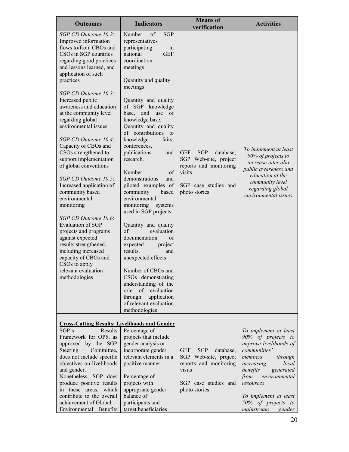| <b>Outcomes</b>                                                                                                                                                                                                                                                                                                                                                                                                                                                                                                                                                                                                                                                                                                                                                                                                         | <b>Indicators</b>                                                                                                                                                                                                                                                                                                                                                                                                                                                                                                                                                                                                                                                                                                                                                                                                                              | <b>Means</b> of<br>verification                                                                                                             | <b>Activities</b>                                                                                                                                                             |
|-------------------------------------------------------------------------------------------------------------------------------------------------------------------------------------------------------------------------------------------------------------------------------------------------------------------------------------------------------------------------------------------------------------------------------------------------------------------------------------------------------------------------------------------------------------------------------------------------------------------------------------------------------------------------------------------------------------------------------------------------------------------------------------------------------------------------|------------------------------------------------------------------------------------------------------------------------------------------------------------------------------------------------------------------------------------------------------------------------------------------------------------------------------------------------------------------------------------------------------------------------------------------------------------------------------------------------------------------------------------------------------------------------------------------------------------------------------------------------------------------------------------------------------------------------------------------------------------------------------------------------------------------------------------------------|---------------------------------------------------------------------------------------------------------------------------------------------|-------------------------------------------------------------------------------------------------------------------------------------------------------------------------------|
| SGP CD Outcome 10.2:<br>Improved information<br>flows to/from CBOs and<br>CSOs in SGP countries<br>regarding good practices<br>and lessons learned, and<br>application of such<br>practices<br>SGP CD Outcome 10.3:<br>Increased public<br>awareness and education<br>at the community level<br>regarding global<br>environmental issues<br>SGP CD Outcome 10.4:<br>Capacity of CBOs and<br>CSOs strengthened to<br>support implementation<br>of global conventions<br>SGP CD Outcome 10.5:<br>Increased application of<br>community based<br>environmental<br>monitoring<br>SGP CD Outcome 10.6:<br><b>Evaluation of SGP</b><br>projects and programs<br>against expected<br>results strengthened,<br>including increased<br>capacity of CBOs and<br>CSO <sub>s</sub> to apply<br>relevant evaluation<br>methodologies | Number<br>of<br><b>SGP</b><br>representatives<br>participating<br>in<br><b>GEF</b><br>national<br>coordination<br>meetings<br>Quantity and quality<br>meetings<br>Quantity and quality<br>of SGP knowledge<br>and<br>base,<br>use<br>of<br>knowledge base;<br>Quantity and quality<br>of contributions to<br>knowledge<br>fairs.<br>conferences,<br>publications<br>and<br>research.<br>Number<br>of<br>demonstrations<br>and<br>piloted examples of<br>community<br>based<br>environmental<br>monitoring<br>systems<br>used in SGP projects<br>Quantity and quality<br>of<br>evaluation<br>documentation<br>of<br>expected<br>project<br>results,<br>and<br>unexpected effects<br>Number of CBOs and<br>CSOs demonstrating<br>understanding of the<br>role of evaluation<br>through<br>application<br>of relevant evaluation<br>methodologies | <b>GEF</b><br><b>SGP</b><br>database,<br>SGP Web-site, project<br>reports and monitoring<br>visits<br>SGP case studies and<br>photo stories | To implement at least<br>90% of projects to<br>increase inter alia<br>public awareness and<br>education at the<br>community level<br>regarding global<br>environmental issues |
| <b>Cross-Cutting Results: Livelihoods and Gender</b>                                                                                                                                                                                                                                                                                                                                                                                                                                                                                                                                                                                                                                                                                                                                                                    |                                                                                                                                                                                                                                                                                                                                                                                                                                                                                                                                                                                                                                                                                                                                                                                                                                                |                                                                                                                                             |                                                                                                                                                                               |
| SGP's<br>Results<br>Framework for OP5, as                                                                                                                                                                                                                                                                                                                                                                                                                                                                                                                                                                                                                                                                                                                                                                               | Percentage of<br>projects that include                                                                                                                                                                                                                                                                                                                                                                                                                                                                                                                                                                                                                                                                                                                                                                                                         |                                                                                                                                             | To implement at least<br>90% of projects to                                                                                                                                   |
| approved by the SGP<br>Steering<br>Committee,<br>does not include specific<br>objectives on livelihoods<br>and gender.                                                                                                                                                                                                                                                                                                                                                                                                                                                                                                                                                                                                                                                                                                  | gender analysis or<br>incorporate gender<br>relevant elements in a<br>positive manner                                                                                                                                                                                                                                                                                                                                                                                                                                                                                                                                                                                                                                                                                                                                                          | <b>SGP</b><br><b>GEF</b><br>database,<br>SGP Web-site, project<br>reports and monitoring<br>visits                                          | improve livelihoods of<br>communities'<br>members<br>through<br>local<br>increasing<br>benefits<br>generated                                                                  |
| Nonetheless, SGP does<br>produce positive results<br>in these areas, which                                                                                                                                                                                                                                                                                                                                                                                                                                                                                                                                                                                                                                                                                                                                              | Percentage of<br>projects with<br>appropriate gender                                                                                                                                                                                                                                                                                                                                                                                                                                                                                                                                                                                                                                                                                                                                                                                           | SGP case studies and<br>photo stories                                                                                                       | from<br>environmental<br>resources                                                                                                                                            |
| contribute to the overall<br>achievement of Global<br>Environmental Benefits                                                                                                                                                                                                                                                                                                                                                                                                                                                                                                                                                                                                                                                                                                                                            | balance of<br>participants and<br>target beneficiaries                                                                                                                                                                                                                                                                                                                                                                                                                                                                                                                                                                                                                                                                                                                                                                                         |                                                                                                                                             | To implement at least<br>50% of projects to<br>mainstream<br>gender                                                                                                           |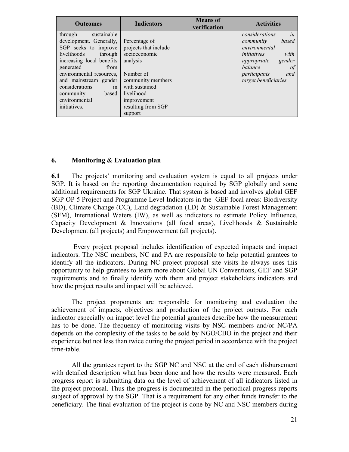| <b>Outcomes</b>                                                                                                                                                                   | <b>Indicators</b>                                                                                 | <b>Means</b> of<br>verification | <b>Activities</b>                                                                                                                                                     |
|-----------------------------------------------------------------------------------------------------------------------------------------------------------------------------------|---------------------------------------------------------------------------------------------------|---------------------------------|-----------------------------------------------------------------------------------------------------------------------------------------------------------------------|
| sustainable<br>through<br>development. Generally,<br>SGP seeks to improve<br>livelihoods<br>through<br>increasing local benefits<br>generated<br>from<br>environmental resources, | Percentage of<br>projects that include<br>socioeconomic<br>analysis<br>Number of                  |                                 | in<br>considerations<br>based<br>community<br>environmental<br>with<br>initiatives<br>gender<br>appropriate<br><i>balance</i><br><sup>of</sup><br>participants<br>and |
| and mainstream gender<br>considerations<br>in<br>community<br>based<br>environmental<br>initiatives.                                                                              | community members<br>with sustained<br>livelihood<br>improvement<br>resulting from SGP<br>support |                                 | target beneficiaries.                                                                                                                                                 |

#### **6. Monitoring & Evaluation plan**

**6.1** The projects' monitoring and evaluation system is equal to all projects under SGP. It is based on the reporting documentation required by SGP globally and some additional requirements for SGP Ukraine. That system is based and involves global GEF SGP OP 5 Project and Programme Level Indicators in the GEF focal areas: Biodiversity (BD), Climate Change (CC), Land degradation (LD) & Sustainable Forest Management (SFM), International Waters (IW), as well as indicators to estimate Policy Influence, Capacity Development & Innovations (all focal areas), Livelihoods & Sustainable Development (all projects) and Empowerment (all projects).

Every project proposal includes identification of expected impacts and impact indicators. The NSC members, NC and PA are responsible to help potential grantees to identify all the indicators. During NC project proposal site visits he always uses this opportunity to help grantees to learn more about Global UN Conventions, GEF and SGP requirements and to finally identify with them and project stakeholders indicators and how the project results and impact will be achieved.

The project proponents are responsible for monitoring and evaluation the achievement of impacts, objectives and production of the project outputs. For each indicator especially on impact level the potential grantees describe how the measurement has to be done. The frequency of monitoring visits by NSC members and/or NC/PA depends on the complexity of the tasks to be sold by NGO/CBO in the project and their experience but not less than twice during the project period in accordance with the project time-table.

All the grantees report to the SGP NC and NSC at the end of each disbursement with detailed description what has been done and how the results were measured. Each progress report is submitting data on the level of achievement of all indicators listed in the project proposal. Thus the progress is documented in the periodical progress reports subject of approval by the SGP. That is a requirement for any other funds transfer to the beneficiary. The final evaluation of the project is done by NC and NSC members during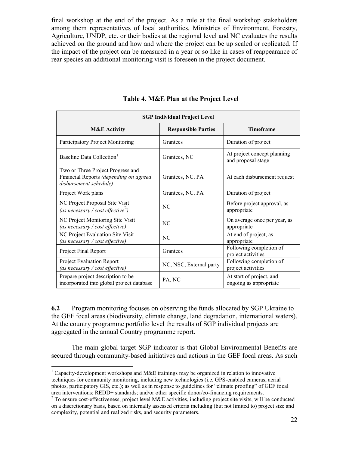final workshop at the end of the project. As a rule at the final workshop stakeholders among them representatives of local authorities, Ministries of Environment, Forestry, Agriculture, UNDP, etc. or their bodies at the regional level and NC evaluates the results achieved on the ground and how and where the project can be up scaled or replicated. If the impact of the project can be measured in a year or so like in cases of reappearance of rear species an additional monitoring visit is foreseen in the project document.

| <b>SGP Individual Project Level</b>                                                                   |                            |                                                    |  |  |
|-------------------------------------------------------------------------------------------------------|----------------------------|----------------------------------------------------|--|--|
| <b>M&amp;E</b> Activity                                                                               | <b>Responsible Parties</b> | <b>Timeframe</b>                                   |  |  |
| Participatory Project Monitoring                                                                      | Grantees                   | Duration of project                                |  |  |
| Baseline Data Collection <sup>1</sup>                                                                 | Grantees, NC               | At project concept planning<br>and proposal stage  |  |  |
| Two or Three Project Progress and<br>Financial Reports (depending on agreed<br>disbursement schedule) | Grantees, NC, PA           | At each disbursement request                       |  |  |
| Project Work plans                                                                                    | Grantees, NC, PA           | Duration of project                                |  |  |
| NC Project Proposal Site Visit<br>(as necessary / cost effective <sup>2</sup> )                       | N <sub>C</sub>             | Before project approval, as<br>appropriate         |  |  |
| NC Project Monitoring Site Visit<br>NC<br>(as necessary / cost effective)                             |                            | On average once per year, as<br>appropriate        |  |  |
| NC Project Evaluation Site Visit<br>(as necessary / cost effective)                                   | NC                         | At end of project, as<br>appropriate               |  |  |
| <b>Project Final Report</b>                                                                           | Grantees                   | Following completion of<br>project activities      |  |  |
| <b>Project Evaluation Report</b><br>(as necessary / cost effective)                                   | NC, NSC, External party    | Following completion of<br>project activities      |  |  |
| Prepare project description to be<br>incorporated into global project database                        | PA, NC                     | At start of project, and<br>ongoing as appropriate |  |  |

**Table 4. M&E Plan at the Project Level** 

**6.2** Program monitoring focuses on observing the funds allocated by SGP Ukraine to the GEF focal areas (biodiversity, climate change, land degradation, international waters). At the country programme portfolio level the results of SGP individual projects are aggregated in the annual Country programme report.

The main global target SGP indicator is that Global Environmental Benefits are secured through community-based initiatives and actions in the GEF focal areas. As such

 $\overline{a}$ 

<sup>&</sup>lt;sup>1</sup> Capacity-development workshops and M&E trainings may be organized in relation to innovative techniques for community monitoring, including new technologies (i.e. GPS-enabled cameras, aerial photos, participatory GIS, etc.); as well as in response to guidelines for "climate proofing" of GEF focal area interventions; REDD+ standards; and/or other specific donor/co-financing requirements.

<sup>&</sup>lt;sup>2</sup> To ensure cost-effectiveness, project level M&E activities, including project site visits, will be conducted on a discretionary basis, based on internally assessed criteria including (but not limited to) project size and complexity, potential and realized risks, and security parameters.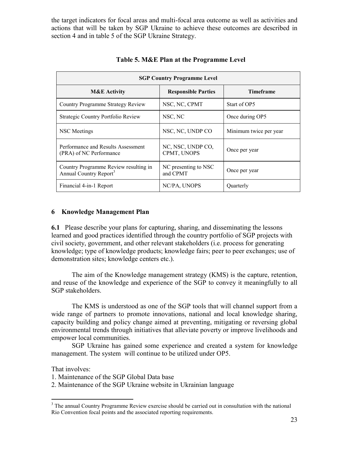the target indicators for focal areas and multi-focal area outcome as well as activities and actions that will be taken by SGP Ukraine to achieve these outcomes are described in section 4 and in table 5 of the SGP Ukraine Strategy.

| <b>SGP Country Programme Level</b>                                          |                                  |                        |  |  |
|-----------------------------------------------------------------------------|----------------------------------|------------------------|--|--|
| <b>M&amp;E</b> Activity                                                     | <b>Responsible Parties</b>       | <b>Timeframe</b>       |  |  |
| Country Programme Strategy Review                                           | NSC, NC, CPMT                    | Start of OP5           |  |  |
| Strategic Country Portfolio Review                                          | NSC, NC                          | Once during OP5        |  |  |
| NSC Meetings                                                                | NSC, NC, UNDP CO                 | Minimum twice per year |  |  |
| Performance and Results Assessment<br>(PRA) of NC Performance               | NC, NSC, UNDP CO,<br>CPMT, UNOPS | Once per year          |  |  |
| Country Programme Review resulting in<br>Annual Country Report <sup>3</sup> | NC presenting to NSC<br>and CPMT | Once per year          |  |  |
| Financial 4-in-1 Report                                                     | NC/PA, UNOPS                     | Quarterly              |  |  |

#### **Table 5. M&E Plan at the Programme Level**

#### **6 Knowledge Management Plan**

**6.1** Please describe your plans for capturing, sharing, and disseminating the lessons learned and good practices identified through the country portfolio of SGP projects with civil society, government, and other relevant stakeholders (i.e. process for generating knowledge; type of knowledge products; knowledge fairs; peer to peer exchanges; use of demonstration sites; knowledge centers etc.).

The aim of the Knowledge management strategy (KMS) is the capture, retention, and reuse of the knowledge and experience of the SGP to convey it meaningfully to all SGP stakeholders.

The KMS is understood as one of the SGP tools that will channel support from a wide range of partners to promote innovations, national and local knowledge sharing, capacity building and policy change aimed at preventing, mitigating or reversing global environmental trends through initiatives that alleviate poverty or improve livelihoods and empower local communities.

SGP Ukraine has gained some experience and created a system for knowledge management. The system will continue to be utilized under OP5.

That involves:

 $\overline{a}$ 

1. Maintenance of the SGP Global Data base

2. Maintenance of the SGP Ukraine website in Ukrainian language

<sup>&</sup>lt;sup>3</sup> The annual Country Programme Review exercise should be carried out in consultation with the national Rio Convention focal points and the associated reporting requirements.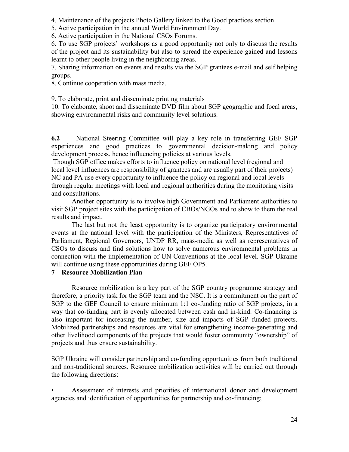4. Maintenance of the projects Photo Gallery linked to the Good practices section

5. Active participation in the annual World Environment Day.

6. Active participation in the National CSOs Forums.

6. To use SGP projects" workshops as a good opportunity not only to discuss the results of the project and its sustainability but also to spread the experience gained and lessons learnt to other people living in the neighboring areas.

7. Sharing information on events and results via the SGP grantees e-mail and self helping groups.

8. Continue cooperation with mass media.

9. To elaborate, print and disseminate printing materials

10. To elaborate, shoot and disseminate DVD film about SGP geographic and focal areas, showing environmental risks and community level solutions.

**6.2** National Steering Committee will play a key role in transferring GEF SGP experiences and good practices to governmental decision-making and policy development process, hence influencing policies at various levels.

Though SGP office makes efforts to influence policy on national level (regional and local level influences are responsibility of grantees and are usually part of their projects) NC and PA use every opportunity to influence the policy on regional and local levels through regular meetings with local and regional authorities during the monitoring visits and consultations.

Another opportunity is to involve high Government and Parliament authorities to visit SGP project sites with the participation of CBOs/NGOs and to show to them the real results and impact.

The last but not the least opportunity is to organize participatory environmental events at the national level with the participation of the Ministers, Representatives of Parliament, Regional Governors, UNDP RR, mass-media as well as representatives of CSOs to discuss and find solutions how to solve numerous environmental problems in connection with the implementation of UN Conventions at the local level. SGP Ukraine will continue using these opportunities during GEF OP5.

# **7 Resource Mobilization Plan**

Resource mobilization is a key part of the SGP country programme strategy and therefore, a priority task for the SGP team and the NSC. It is a commitment on the part of SGP to the GEF Council to ensure minimum 1:1 co-funding ratio of SGP projects, in a way that co-funding part is evenly allocated between cash and in-kind. Co-financing is also important for increasing the number, size and impacts of SGP funded projects. Mobilized partnerships and resources are vital for strengthening income-generating and other livelihood components of the projects that would foster community "ownership" of projects and thus ensure sustainability.

SGP Ukraine will consider partnership and co-funding opportunities from both traditional and non-traditional sources. Resource mobilization activities will be carried out through the following directions:

• Assessment of interests and priorities of international donor and development agencies and identification of opportunities for partnership and co-financing;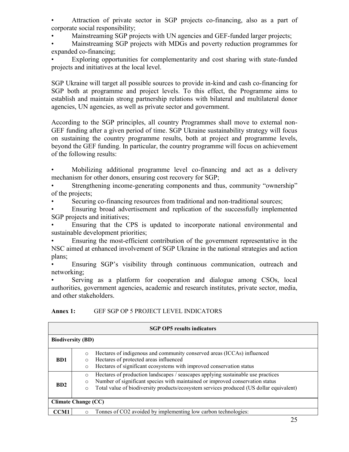• Attraction of private sector in SGP projects co-financing, also as a part of corporate social responsibility;

• Mainstreaming SGP projects with UN agencies and GEF-funded larger projects;

• Mainstreaming SGP projects with MDGs and poverty reduction programmes for expanded co-financing;

Exploring opportunities for complementarity and cost sharing with state-funded projects and initiatives at the local level.

SGP Ukraine will target all possible sources to provide in-kind and cash co-financing for SGP both at programme and project levels. To this effect, the Programme aims to establish and maintain strong partnership relations with bilateral and multilateral donor agencies, UN agencies, as well as private sector and government.

According to the SGP principles, all country Programmes shall move to external non-GEF funding after a given period of time. SGP Ukraine sustainability strategy will focus on sustaining the country programme results, both at project and programme levels, beyond the GEF funding. In particular, the country programme will focus on achievement of the following results:

• Mobilizing additional programme level co-financing and act as a delivery mechanism for other donors, ensuring cost recovery for SGP;

Strengthening income-generating components and thus, community "ownership" of the projects;

Securing co-financing resources from traditional and non-traditional sources;

• Ensuring broad advertisement and replication of the successfully implemented SGP projects and initiatives;

• Ensuring that the CPS is updated to incorporate national environmental and sustainable development priorities;

• Ensuring the most-efficient contribution of the government representative in the NSC aimed at enhanced involvement of SGP Ukraine in the national strategies and action plans;

Ensuring SGP's visibility through continuous communication, outreach and networking;

• Serving as a platform for cooperation and dialogue among CSOs, local authorities, government agencies, academic and research institutes, private sector, media, and other stakeholders.

#### **Annex 1:** GEF SGP OP 5 PROJECT LEVEL INDICATORS

| <b>SGP OP5</b> results indicators |                                                                                                                                                                                                                                                                                               |  |  |  |
|-----------------------------------|-----------------------------------------------------------------------------------------------------------------------------------------------------------------------------------------------------------------------------------------------------------------------------------------------|--|--|--|
| <b>Biodiversity (BD)</b>          |                                                                                                                                                                                                                                                                                               |  |  |  |
| <b>BD1</b>                        | Hectares of indigenous and community conserved areas (ICCAs) influenced<br>$\circ$<br>Hectares of protected areas influenced<br>$\circ$<br>Hectares of significant ecosystems with improved conservation status<br>$\circ$                                                                    |  |  |  |
| <b>BD2</b>                        | Hectares of production landscapes / seascapes applying sustainable use practices<br>$\circ$<br>Number of significant species with maintained or improved conservation status<br>$\circ$<br>Total value of biodiversity products/ecosystem services produced (US dollar equivalent)<br>$\circ$ |  |  |  |
| <b>Climate Change (CC)</b>        |                                                                                                                                                                                                                                                                                               |  |  |  |
| CCM1                              | Tonnes of CO2 avoided by implementing low carbon technologies:<br>$\Omega$                                                                                                                                                                                                                    |  |  |  |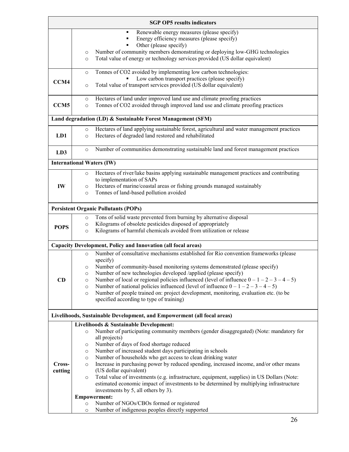|                   | <b>SGP OP5</b> results indicators                                                                                                                                                                                                                                                                                                                                                                                                                                                                                                                                                                                                                                                                                                                                                                                                                                                         |  |  |  |  |
|-------------------|-------------------------------------------------------------------------------------------------------------------------------------------------------------------------------------------------------------------------------------------------------------------------------------------------------------------------------------------------------------------------------------------------------------------------------------------------------------------------------------------------------------------------------------------------------------------------------------------------------------------------------------------------------------------------------------------------------------------------------------------------------------------------------------------------------------------------------------------------------------------------------------------|--|--|--|--|
|                   | Renewable energy measures (please specify)<br>٠<br>Energy efficiency measures (please specify)<br>Other (please specify)<br>Number of community members demonstrating or deploying low-GHG technologies<br>$\circ$<br>Total value of energy or technology services provided (US dollar equivalent)<br>$\circ$                                                                                                                                                                                                                                                                                                                                                                                                                                                                                                                                                                             |  |  |  |  |
| CCM4              | Tonnes of CO2 avoided by implementing low carbon technologies:<br>$\circ$<br>Low carbon transport practices (please specify)<br>Total value of transport services provided (US dollar equivalent)<br>$\circ$                                                                                                                                                                                                                                                                                                                                                                                                                                                                                                                                                                                                                                                                              |  |  |  |  |
| CCM <sub>5</sub>  | Hectares of land under improved land use and climate proofing practices<br>$\circ$<br>Tonnes of CO2 avoided through improved land use and climate proofing practices<br>$\circ$                                                                                                                                                                                                                                                                                                                                                                                                                                                                                                                                                                                                                                                                                                           |  |  |  |  |
|                   | Land degradation (LD) & Sustainable Forest Management (SFM)                                                                                                                                                                                                                                                                                                                                                                                                                                                                                                                                                                                                                                                                                                                                                                                                                               |  |  |  |  |
| LD1               | Hectares of land applying sustainable forest, agricultural and water management practices<br>$\circ$<br>Hectares of degraded land restored and rehabilitated<br>$\circ$                                                                                                                                                                                                                                                                                                                                                                                                                                                                                                                                                                                                                                                                                                                   |  |  |  |  |
| LD3               | Number of communities demonstrating sustainable land and forest management practices<br>$\circ$                                                                                                                                                                                                                                                                                                                                                                                                                                                                                                                                                                                                                                                                                                                                                                                           |  |  |  |  |
|                   | <b>International Waters (IW)</b>                                                                                                                                                                                                                                                                                                                                                                                                                                                                                                                                                                                                                                                                                                                                                                                                                                                          |  |  |  |  |
| IW                | Hectares of river/lake basins applying sustainable management practices and contributing<br>$\circ$<br>to implementation of SAPs<br>Hectares of marine/coastal areas or fishing grounds managed sustainably<br>$\circ$<br>Tonnes of land-based pollution avoided<br>$\circ$                                                                                                                                                                                                                                                                                                                                                                                                                                                                                                                                                                                                               |  |  |  |  |
|                   | <b>Persistent Organic Pollutants (POPs)</b>                                                                                                                                                                                                                                                                                                                                                                                                                                                                                                                                                                                                                                                                                                                                                                                                                                               |  |  |  |  |
| <b>POPS</b>       | Tons of solid waste prevented from burning by alternative disposal<br>$\circ$<br>Kilograms of obsolete pesticides disposed of appropriately<br>$\circ$<br>Kilograms of harmful chemicals avoided from utilization or release<br>$\circ$                                                                                                                                                                                                                                                                                                                                                                                                                                                                                                                                                                                                                                                   |  |  |  |  |
|                   | Capacity Development, Policy and Innovation (all focal areas)                                                                                                                                                                                                                                                                                                                                                                                                                                                                                                                                                                                                                                                                                                                                                                                                                             |  |  |  |  |
| CD                | Number of consultative mechanisms established for Rio convention frameworks (please<br>$\circ$<br>specify)<br>Number of community-based monitoring systems demonstrated (please specify)<br>$\circ$<br>Number of new technologies developed /applied (please specify)<br>O<br>Number of local or regional policies influenced (level of influence $0 - 1 - 2 - 3 - 4 - 5$ )<br>$\circ$<br>Number of national policies influenced (level of influence $0 - 1 - 2 - 3 - 4 - 5$ )<br>$\circ$<br>Number of people trained on: project development, monitoring, evaluation etc. (to be<br>$\circ$<br>specified according to type of training)                                                                                                                                                                                                                                                  |  |  |  |  |
|                   | Livelihoods, Sustainable Development, and Empowerment (all focal areas)                                                                                                                                                                                                                                                                                                                                                                                                                                                                                                                                                                                                                                                                                                                                                                                                                   |  |  |  |  |
| Cross-<br>cutting | Livelihoods & Sustainable Development:<br>Number of participating community members (gender disaggregated) (Note: mandatory for<br>$\circ$<br>all projects)<br>Number of days of food shortage reduced<br>$\circ$<br>Number of increased student days participating in schools<br>$\circ$<br>Number of households who get access to clean drinking water<br>$\circ$<br>Increase in purchasing power by reduced spending, increased income, and/or other means<br>$\circ$<br>(US dollar equivalent)<br>Total value of investments (e.g. infrastructure, equipment, supplies) in US Dollars (Note:<br>$\circ$<br>estimated economic impact of investments to be determined by multiplying infrastructure<br>investments by 5, all others by 3).<br><b>Empowerment:</b><br>Number of NGOs/CBOs formed or registered<br>$\circ$<br>Number of indigenous peoples directly supported<br>$\circ$ |  |  |  |  |